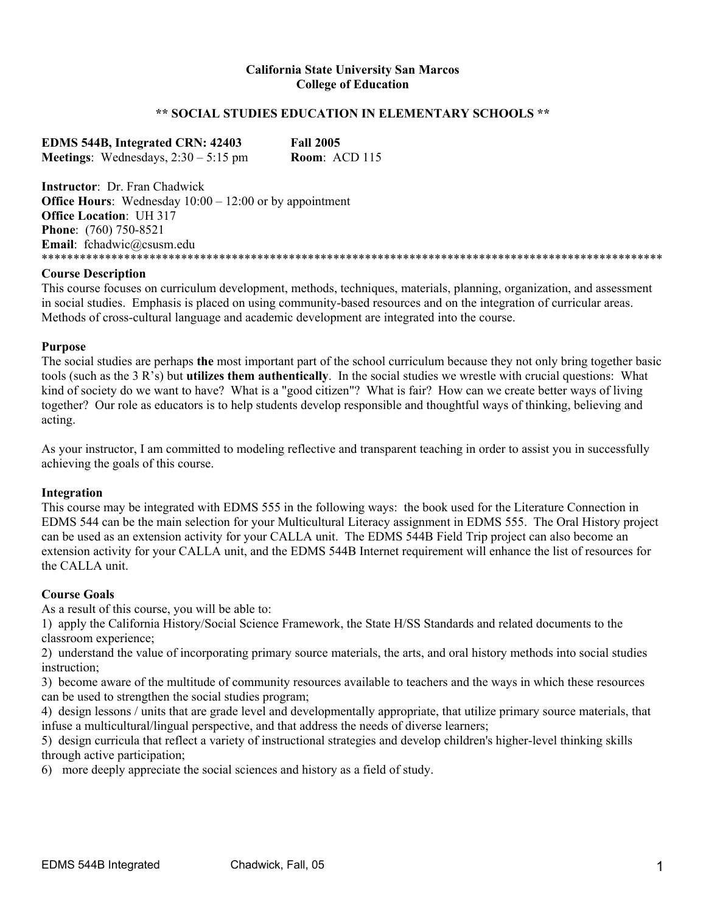## **California State University San Marcos College of Education**

# **\*\* SOCIAL STUDIES EDUCATION IN ELEMENTARY SCHOOLS \*\***

**EDMS 544B, Integrated CRN: 42403 Fall 2005 Meetings**: Wednesdays, 2:30 – 5:15 pm **Room**: ACD 115

**Instructor**: Dr. Fran Chadwick **Office Hours**: Wednesday  $10:00 - 12:00$  or by appointment **Office Location**: UH 317 **Phone**: (760) 750-8521 **Email**: fchadwic@csusm.edu \*\*\*\*\*\*\*\*\*\*\*\*\*\*\*\*\*\*\*\*\*\*\*\*\*\*\*\*\*\*\*\*\*\*\*\*\*\*

### **Course Description**

This course focuses on curriculum development, methods, techniques, materials, planning, organization, and assessment in social studies. Emphasis is placed on using community-based resources and on the integration of curricular areas. Methods of cross-cultural language and academic development are integrated into the course.

#### **Purpose**

The social studies are perhaps **the** most important part of the school curriculum because they not only bring together basic tools (such as the 3 R's) but **utilizes them authentically**. In the social studies we wrestle with crucial questions: What kind of society do we want to have? What is a "good citizen"? What is fair? How can we create better ways of living together? Our role as educators is to help students develop responsible and thoughtful ways of thinking, believing and acting.

As your instructor, I am committed to modeling reflective and transparent teaching in order to assist you in successfully achieving the goals of this course.

### **Integration**

This course may be integrated with EDMS 555 in the following ways: the book used for the Literature Connection in EDMS 544 can be the main selection for your Multicultural Literacy assignment in EDMS 555. The Oral History project can be used as an extension activity for your CALLA unit. The EDMS 544B Field Trip project can also become an extension activity for your CALLA unit, and the EDMS 544B Internet requirement will enhance the list of resources for the CALLA unit.

### **Course Goals**

As a result of this course, you will be able to:

1) apply the California History/Social Science Framework, the State H/SS Standards and related documents to the classroom experience;

2) understand the value of incorporating primary source materials, the arts, and oral history methods into social studies instruction;

3) become aware of the multitude of community resources available to teachers and the ways in which these resources can be used to strengthen the social studies program;

4) design lessons / units that are grade level and developmentally appropriate, that utilize primary source materials, that infuse a multicultural/lingual perspective, and that address the needs of diverse learners;

5) design curricula that reflect a variety of instructional strategies and develop children's higher-level thinking skills through active participation;

6) more deeply appreciate the social sciences and history as a field of study.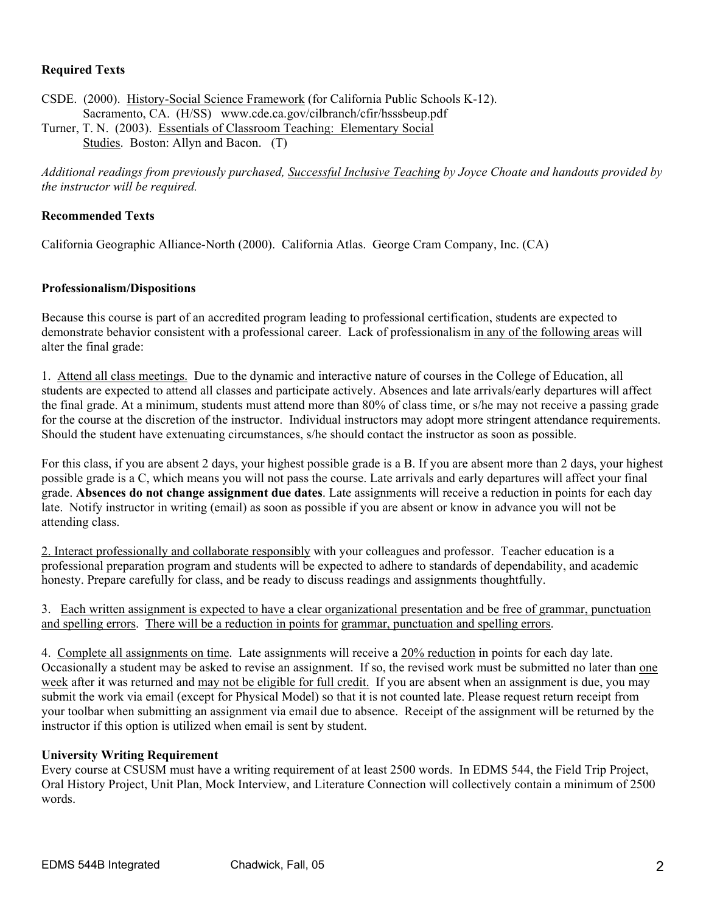# **Required Texts**

CSDE. (2000). History-Social Science Framework (for California Public Schools K-12). Sacramento, CA. (H/SS) www.cde.ca.gov/cilbranch/cfir/hsssbeup.pdf Turner, T. N. (2003). Essentials of Classroom Teaching: Elementary Social

Studies. Boston: Allyn and Bacon. (T)

*Additional readings from previously purchased, Successful Inclusive Teaching by Joyce Choate and handouts provided by the instructor will be required.* 

# **Recommended Texts**

California Geographic Alliance-North (2000). California Atlas. George Cram Company, Inc. (CA)

# **Professionalism/Dispositions**

Because this course is part of an accredited program leading to professional certification, students are expected to demonstrate behavior consistent with a professional career. Lack of professionalism in any of the following areas will alter the final grade:

1. Attend all class meetings. Due to the dynamic and interactive nature of courses in the College of Education, all students are expected to attend all classes and participate actively. Absences and late arrivals/early departures will affect the final grade. At a minimum, students must attend more than 80% of class time, or s/he may not receive a passing grade for the course at the discretion of the instructor. Individual instructors may adopt more stringent attendance requirements. Should the student have extenuating circumstances, s/he should contact the instructor as soon as possible.

For this class, if you are absent 2 days, your highest possible grade is a B. If you are absent more than 2 days, your highest possible grade is a C, which means you will not pass the course. Late arrivals and early departures will affect your final grade. **Absences do not change assignment due dates**. Late assignments will receive a reduction in points for each day late. Notify instructor in writing (email) as soon as possible if you are absent or know in advance you will not be attending class.

2. Interact professionally and collaborate responsibly with your colleagues and professor. Teacher education is a professional preparation program and students will be expected to adhere to standards of dependability, and academic honesty. Prepare carefully for class, and be ready to discuss readings and assignments thoughtfully.

# 3. Each written assignment is expected to have a clear organizational presentation and be free of grammar, punctuation and spelling errors. There will be a reduction in points for grammar, punctuation and spelling errors.

4. Complete all assignments on time. Late assignments will receive a 20% reduction in points for each day late. Occasionally a student may be asked to revise an assignment. If so, the revised work must be submitted no later than one week after it was returned and may not be eligible for full credit. If you are absent when an assignment is due, you may submit the work via email (except for Physical Model) so that it is not counted late. Please request return receipt from your toolbar when submitting an assignment via email due to absence. Receipt of the assignment will be returned by the instructor if this option is utilized when email is sent by student.

# **University Writing Requirement**

Every course at CSUSM must have a writing requirement of at least 2500 words. In EDMS 544, the Field Trip Project, Oral History Project, Unit Plan, Mock Interview, and Literature Connection will collectively contain a minimum of 2500 words.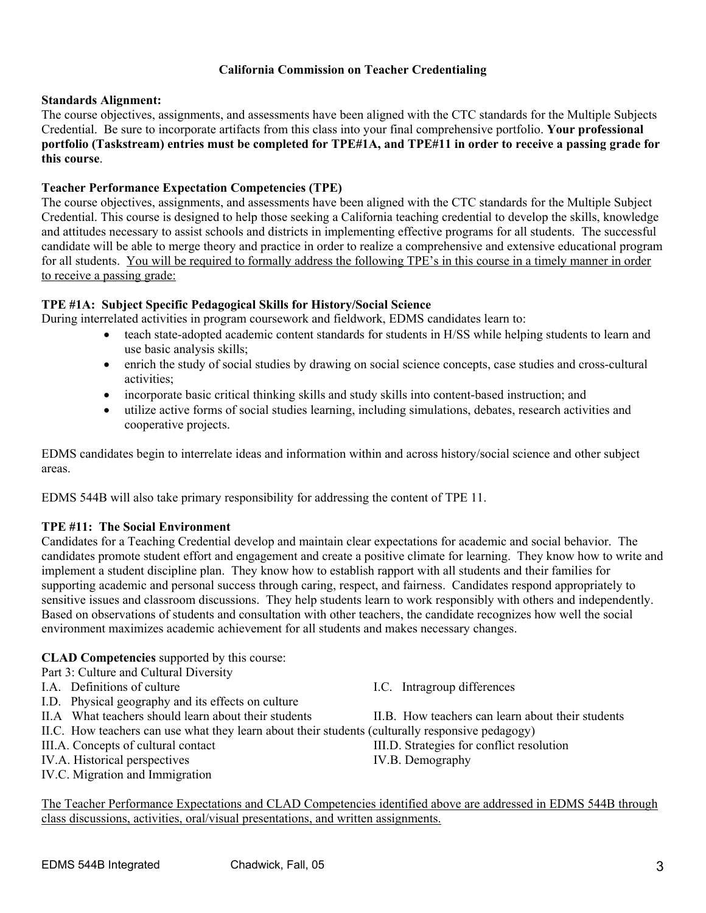# **California Commission on Teacher Credentialing**

# **Standards Alignment:**

The course objectives, assignments, and assessments have been aligned with the CTC standards for the Multiple Subjects Credential. Be sure to incorporate artifacts from this class into your final comprehensive portfolio. **Your professional portfolio (Taskstream) entries must be completed for TPE#1A, and TPE#11 in order to receive a passing grade for this course**.

# **Teacher Performance Expectation Competencies (TPE)**

The course objectives, assignments, and assessments have been aligned with the CTC standards for the Multiple Subject Credential. This course is designed to help those seeking a California teaching credential to develop the skills, knowledge and attitudes necessary to assist schools and districts in implementing effective programs for all students. The successful candidate will be able to merge theory and practice in order to realize a comprehensive and extensive educational program for all students. You will be required to formally address the following TPE's in this course in a timely manner in order to receive a passing grade:

# **TPE #1A: Subject Specific Pedagogical Skills for History/Social Science**

During interrelated activities in program coursework and fieldwork, EDMS candidates learn to:

- teach state-adopted academic content standards for students in H/SS while helping students to learn and use basic analysis skills;
- enrich the study of social studies by drawing on social science concepts, case studies and cross-cultural activities;
- incorporate basic critical thinking skills and study skills into content-based instruction; and
- utilize active forms of social studies learning, including simulations, debates, research activities and cooperative projects.

EDMS candidates begin to interrelate ideas and information within and across history/social science and other subject areas.

EDMS 544B will also take primary responsibility for addressing the content of TPE 11.

# **TPE #11: The Social Environment**

Candidates for a Teaching Credential develop and maintain clear expectations for academic and social behavior. The candidates promote student effort and engagement and create a positive climate for learning. They know how to write and implement a student discipline plan. They know how to establish rapport with all students and their families for supporting academic and personal success through caring, respect, and fairness. Candidates respond appropriately to sensitive issues and classroom discussions. They help students learn to work responsibly with others and independently. Based on observations of students and consultation with other teachers, the candidate recognizes how well the social environment maximizes academic achievement for all students and makes necessary changes.

# **CLAD Competencies** supported by this course:

Part 3: Culture and Cultural Diversity

- 
- I.D. Physical geography and its effects on culture
- 
- II.C. How teachers can use what they learn about their students (culturally responsive pedagogy)
- 
- IV.A. Historical perspectives IV.B. Demography
- IV.C. Migration and Immigration

I.A. Definitions of culture I.C. Intragroup differences

- II.A What teachers should learn about their students II.B. How teachers can learn about their students
- III.A. Concepts of cultural contact III.D. Strategies for conflict resolution
	-

The Teacher Performance Expectations and CLAD Competencies identified above are addressed in EDMS 544B through class discussions, activities, oral/visual presentations, and written assignments.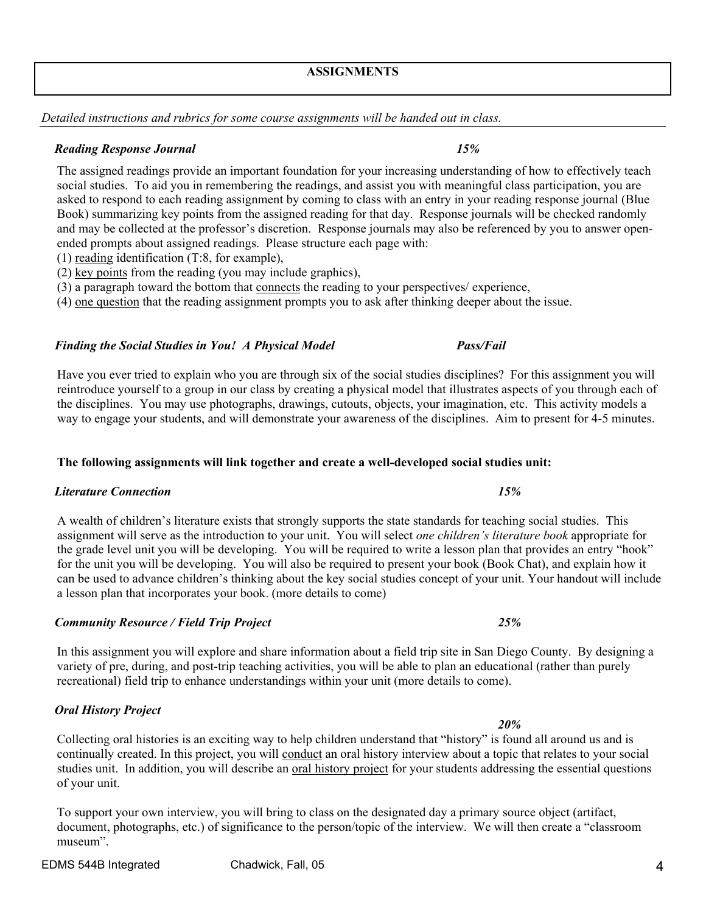*Community Resource / Field Trip Project 25%* 

In this assignment you will explore and share information about a field trip site in San Diego County. By designing a variety of pre, during, and post-trip teaching activities, you will be able to plan an educational (rather than purely recreational) field trip to enhance understandings within your unit (more details to come).

# *Oral History Project*

 *20%* Collecting oral histories is an exciting way to help children understand that "history" is found all around us and is continually created. In this project, you will conduct an oral history interview about a topic that relates to your social studies unit. In addition, you will describe an oral history project for your students addressing the essential questions of your unit.

To support your own interview, you will bring to class on the designated day a primary source object (artifact, document, photographs, etc.) of significance to the person/topic of the interview. We will then create a "classroom museum".

### **ASSIGNMENTS**

*Detailed instructions and rubrics for some course assignments will be handed out in class.* 

# *Reading Response Journal 15%*

The assigned readings provide an important foundation for your increasing understanding of how to effectively teach social studies. To aid you in remembering the readings, and assist you with meaningful class participation, you are asked to respond to each reading assignment by coming to class with an entry in your reading response journal (Blue Book) summarizing key points from the assigned reading for that day. Response journals will be checked randomly and may be collected at the professor's discretion. Response journals may also be referenced by you to answer openended prompts about assigned readings. Please structure each page with:

- (1) reading identification (T:8, for example),
- (2) key points from the reading (you may include graphics),
- (3) a paragraph toward the bottom that connects the reading to your perspectives/ experience,
- (4) one question that the reading assignment prompts you to ask after thinking deeper about the issue.

# *Finding the Social Studies in You! A Physical Model Pass/Fail*

Have you ever tried to explain who you are through six of the social studies disciplines? For this assignment you will reintroduce yourself to a group in our class by creating a physical model that illustrates aspects of you through each of the disciplines. You may use photographs, drawings, cutouts, objects, your imagination, etc. This activity models a way to engage your students, and will demonstrate your awareness of the disciplines. Aim to present for 4-5 minutes.

### **The following assignments will link together and create a well-developed social studies unit:**

# *Literature Connection 15%*

A wealth of children's literature exists that strongly supports the state standards for teaching social studies. This assignment will serve as the introduction to your unit. You will select *one children's literature book* appropriate for the grade level unit you will be developing. You will be required to write a lesson plan that provides an entry "hook" for the unit you will be developing. You will also be required to present your book (Book Chat), and explain how it can be used to advance children's thinking about the key social studies concept of your unit. Your handout will include a lesson plan that incorporates your book. (more details to come)

EDMS 544B Integrated Chadwick, Fall, 05 4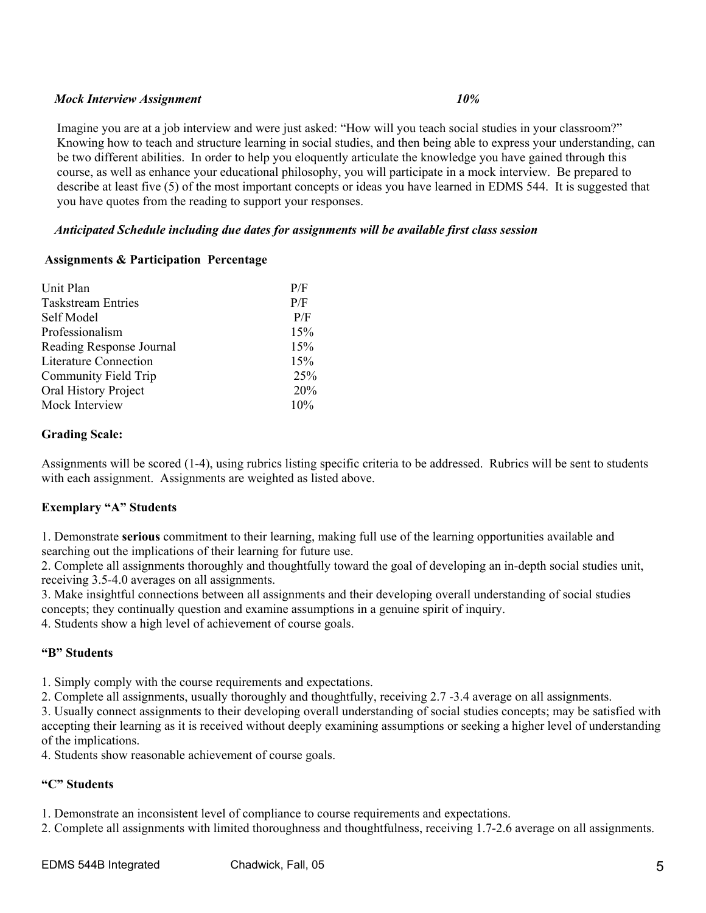# *Mock Interview Assignment 10%*

Imagine you are at a job interview and were just asked: "How will you teach social studies in your classroom?" Knowing how to teach and structure learning in social studies, and then being able to express your understanding, can be two different abilities. In order to help you eloquently articulate the knowledge you have gained through this course, as well as enhance your educational philosophy, you will participate in a mock interview. Be prepared to describe at least five (5) of the most important concepts or ideas you have learned in EDMS 544. It is suggested that you have quotes from the reading to support your responses.

# *Anticipated Schedule including due dates for assignments will be available first class session*

# **Assignments & Participation Percentage**

| Unit Plan                    | P/F |
|------------------------------|-----|
| <b>Taskstream Entries</b>    | P/F |
| Self Model                   | P/F |
| Professionalism              | 15% |
| Reading Response Journal     | 15% |
| <b>Literature Connection</b> | 15% |
| Community Field Trip         | 25% |
| Oral History Project         | 20% |
| Mock Interview               | 10% |

# **Grading Scale:**

Assignments will be scored (1-4), using rubrics listing specific criteria to be addressed. Rubrics will be sent to students with each assignment. Assignments are weighted as listed above.

# **Exemplary "A" Students**

1. Demonstrate **serious** commitment to their learning, making full use of the learning opportunities available and searching out the implications of their learning for future use.

2. Complete all assignments thoroughly and thoughtfully toward the goal of developing an in-depth social studies unit, receiving 3.5-4.0 averages on all assignments.

3. Make insightful connections between all assignments and their developing overall understanding of social studies concepts; they continually question and examine assumptions in a genuine spirit of inquiry.

4. Students show a high level of achievement of course goals.

# **"B" Students**

1. Simply comply with the course requirements and expectations.

2. Complete all assignments, usually thoroughly and thoughtfully, receiving 2.7 -3.4 average on all assignments.

3. Usually connect assignments to their developing overall understanding of social studies concepts; may be satisfied with accepting their learning as it is received without deeply examining assumptions or seeking a higher level of understanding of the implications.

4. Students show reasonable achievement of course goals.

# **"C" Students**

1. Demonstrate an inconsistent level of compliance to course requirements and expectations.

2. Complete all assignments with limited thoroughness and thoughtfulness, receiving 1.7-2.6 average on all assignments.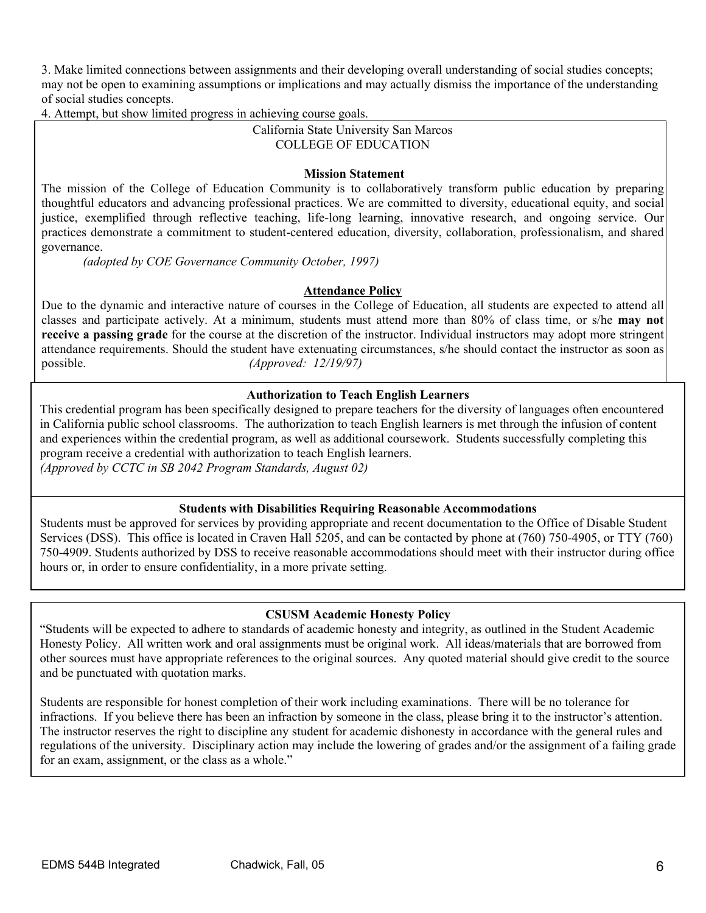3. Make limited connections between assignments and their developing overall understanding of social studies concepts; may not be open to examining assumptions or implications and may actually dismiss the importance of the understanding of social studies concepts.

4. Attempt, but show limited progress in achieving course goals.

# California State University San Marcos COLLEGE OF EDUCATION

# **Mission Statement**

The mission of the College of Education Community is to collaboratively transform public education by preparing thoughtful educators and advancing professional practices. We are committed to diversity, educational equity, and social justice, exemplified through reflective teaching, life-long learning, innovative research, and ongoing service. Our practices demonstrate a commitment to student-centered education, diversity, collaboration, professionalism, and shared governance.

*(adopted by COE Governance Community October, 1997)*

# **Attendance Policy**

Due to the dynamic and interactive nature of courses in the College of Education, all students are expected to attend all classes and participate actively. At a minimum, students must attend more than 80% of class time, or s/he **may not receive a passing grade** for the course at the discretion of the instructor. Individual instructors may adopt more stringent attendance requirements. Should the student have extenuating circumstances, s/he should contact the instructor as soon as possible. *(Approved: 12/19/97)* 

# **Authorization to Teach English Learners**

This credential program has been specifically designed to prepare teachers for the diversity of languages often encountered in California public school classrooms. The authorization to teach English learners is met through the infusion of content and experiences within the credential program, as well as additional coursework. Students successfully completing this program receive a credential with authorization to teach English learners. *(Approved by CCTC in SB 2042 Program Standards, August 02)*

# **Students with Disabilities Requiring Reasonable Accommodations**

Students must be approved for services by providing appropriate and recent documentation to the Office of Disable Student Services (DSS). This office is located in Craven Hall 5205, and can be contacted by phone at (760) 750-4905, or TTY (760) 750-4909. Students authorized by DSS to receive reasonable accommodations should meet with their instructor during office hours or, in order to ensure confidentiality, in a more private setting.

# **CSUSM Academic Honesty Policy**

other sources must have appropriate references to the original sources. Any quoted material should give credit to the source "Students will be expected to adhere to standards of academic honesty and integrity, as outlined in the Student Academic Honesty Policy. All written work and oral assignments must be original work. All ideas/materials that are borrowed from and be punctuated with quotation marks.

Students are responsible for honest completion of their work including examinations. There will be no tolerance for infractions. If you believe there has been an infraction by someone in the class, please bring it to the instructor's attention. The instructor reserves the right to discipline any student for academic dishonesty in accordance with the general rules and regulations of the university. Disciplinary action may include the lowering of grades and/or the assignment of a failing grade for an exam, assignment, or the class as a whole."